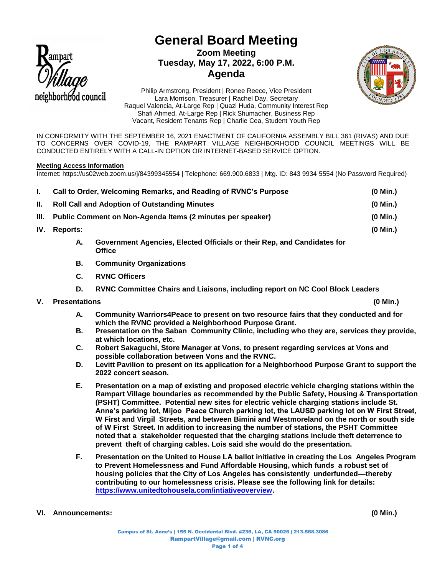

# **General Board Meeting Zoom Meeting Tuesday, May 17, 2022, 6:00 P.M. Agenda**



Philip Armstrong, President | Ronee Reece, Vice President Lara Morrison, Treasurer | Rachel Day, Secretary Raquel Valencia, At-Large Rep | Quazi Huda, Community Interest Rep Shafi Ahmed, At-Large Rep | Rick Shumacher, Business Rep Vacant, Resident Tenants Rep | Charlie Cea, Student Youth Rep

IN CONFORMITY WITH THE SEPTEMBER 16, 2021 ENACTMENT OF CALIFORNIA ASSEMBLY BILL 361 (RIVAS) AND DUE TO CONCERNS OVER COVID-19, THE RAMPART VILLAGE NEIGHBORHOOD COUNCIL MEETINGS WILL BE CONDUCTED ENTIRELY WITH A CALL-IN OPTION OR INTERNET-BASED SERVICE OPTION.

### **Meeting Access Information**

Internet: https://us02web.zoom.us/j/84399345554 | Telephone: 669.900.6833 | Mtg. ID: 843 9934 5554 (No Password Required)

|       | Call to Order, Welcoming Remarks, and Reading of RVNC's Purpose                         |  | $(0$ Min.) |
|-------|-----------------------------------------------------------------------------------------|--|------------|
| II. – | <b>Roll Call and Adoption of Outstanding Minutes</b>                                    |  | $(0$ Min.) |
| III.  | Public Comment on Non-Agenda Items (2 minutes per speaker)                              |  | $(0$ Min.) |
| IV.   | <b>Reports:</b>                                                                         |  | (0 Min.)   |
|       | Government Agencies, Elected Officials or their Rep, and Candidates for<br>А.<br>Office |  |            |

- **B. Community Organizations**
- **C. RVNC Officers**
- **D. RVNC Committee Chairs and Liaisons, including report on NC Cool Block Leaders**
- **V. Presentations (0 Min.)**
	- **A. Community Warriors4Peace to present on two resource fairs that they conducted and for which the RVNC provided a Neighborhood Purpose Grant.**
	- **B. Presentation on the Saban Community Clinic, including who they are, services they provide, at which locations, etc.**
	- **C. Robert Sakaguchi, Store Manager at Vons, to present regarding services at Vons and possible collaboration between Vons and the RVNC.**
	- **D. Levitt Pavilion to present on its application for a Neighborhood Purpose Grant to support the 2022 concert season.**
	- **E. Presentation on a map of existing and proposed electric vehicle charging stations within the Rampart Village boundaries as recommended by the Public Safety, Housing & Transportation (PSHT) Committee. Potential new sites for electric vehicle charging stations include St. Anne's parking lot, Mijoo Peace Church parking lot, the LAUSD parking lot on W First Street, W First and Virgil Streets, and between Bimini and Westmoreland on the north or south side of W First Street. In addition to increasing the number of stations, the PSHT Committee noted that a stakeholder requested that the charging stations include theft deterrence to prevent theft of charging cables. Lois said she would do the presentation.**
	- **F. Presentation on the United to House LA ballot initiative in creating the Los Angeles Program to Prevent Homelessness and Fund Affordable Housing, which funds a robust set of housing policies that the City of Los Angeles has consistently underfunded—thereby contributing to our homelessness crisis. Please see the following link for details: [https://www.unitedtohousela.com/intiativeoverview.](https://www.unitedtohousela.com/intiativeoverview)**

### **VI. Announcements: (0 Min.)**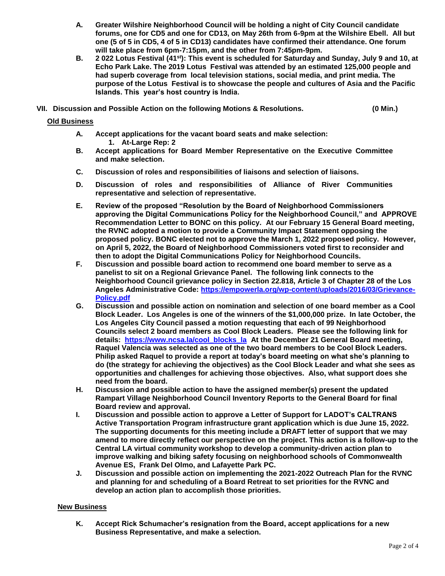- **A. Greater Wilshire Neighborhood Council will be holding a night of City Council candidate forums, one for CD5 and one for CD13, on May 26th from 6-9pm at the Wilshire Ebell. All but one (5 of 5 in CD5, 4 of 5 in CD13) candidates have confirmed their attendance. One forum will take place from 6pm-7:15pm, and the other from 7:45pm-9pm.**
- **B. 2 022 Lotus Festival (41st): This event is scheduled for Saturday and Sunday, July 9 and 10, at Echo Park Lake. The 2019 Lotus Festival was attended by an estimated 125,000 people and had superb coverage from local television stations, social media, and print media. The purpose of the Lotus Festival is to showcase the people and cultures of Asia and the Pacific Islands. This year's host country is India.**
- **VII. Discussion and Possible Action on the following Motions & Resolutions. (0 Min.)**

### **Old Business**

- **A. Accept applications for the vacant board seats and make selection: 1. At-Large Rep: 2**
- **B. Accept applications for Board Member Representative on the Executive Committee and make selection.**
- **C. Discussion of roles and responsibilities of liaisons and selection of liaisons.**
- **D. Discussion of roles and responsibilities of Alliance of River Communities representative and selection of representative.**
- **E. Review of the proposed "Resolution by the Board of Neighborhood Commissioners approving the Digital Communications Policy for the Neighborhood Council," and APPROVE Recommendation Letter to BONC on this policy. At our February 15 General Board meeting, the RVNC adopted a motion to provide a Community Impact Statement opposing the proposed policy. BONC elected not to approve the March 1, 2022 proposed policy. However, on April 5, 2022, the Board of Neighborhood Commissioners voted first to reconsider and then to adopt the Digital Communications Policy for Neighborhood Councils.**
- **F. Discussion and possible board action to recommend one board member to serve as a panelist to sit on a Regional Grievance Panel. The following link connects to the Neighborhood Council grievance policy in Section 22.818, Article 3 of Chapter 28 of the Los Angeles Administrative Code: [https://empowerla.org/wp-content/uploads/2016/03/Grievance-](https://empowerla.org/wp-content/uploads/2016/03/Grievance-Policy.pdf)[Policy.pdf](https://empowerla.org/wp-content/uploads/2016/03/Grievance-Policy.pdf)**
- **G. Discussion and possible action on nomination and selection of one board member as a Cool Block Leader. Los Angeles is one of the winners of the \$1,000,000 prize. In late October, the Los Angeles City Council passed a motion requesting that each of 99 Neighborhood Councils select 2 board members as Cool Block Leaders. Please see the following link for details: [https://www.ncsa.la/cool\\_blocks\\_la](https://www.ncsa.la/cool_blocks_la) At the December 21 General Board meeting, Raquel Valencia was selected as one of the two board members to be Cool Block Leaders. Philip asked Raquel to provide a report at today's board meeting on what she's planning to do (the strategy for achieving the objectives) as the Cool Block Leader and what she sees as opportunities and challenges for achieving those objectives. Also, what support does she need from the board.**
- **H. Discussion and possible action to have the assigned member(s) present the updated Rampart Village Neighborhood Council Inventory Reports to the General Board for final Board review and approval.**
- **I. Discussion and possible action to approve a Letter of Support for LADOT's CALTRANS Active Transportation Program infrastructure grant application which is due June 15, 2022. The supporting documents for this meeting include a DRAFT letter of support that we may amend to more directly reflect our perspective on the project. This action is a follow-up to the Central LA virtual community workshop to develop a community-driven action plan to improve walking and biking safety focusing on neighborhood schools of Commonwealth Avenue ES, Frank Del Olmo, and Lafayette Park PC.**
- **J. Discussion and possible action on implementing the 2021-2022 Outreach Plan for the RVNC and planning for and scheduling of a Board Retreat to set priorities for the RVNC and develop an action plan to accomplish those priorities.**

## **New Business**

**K. Accept Rick Schumacher's resignation from the Board, accept applications for a new Business Representative, and make a selection.**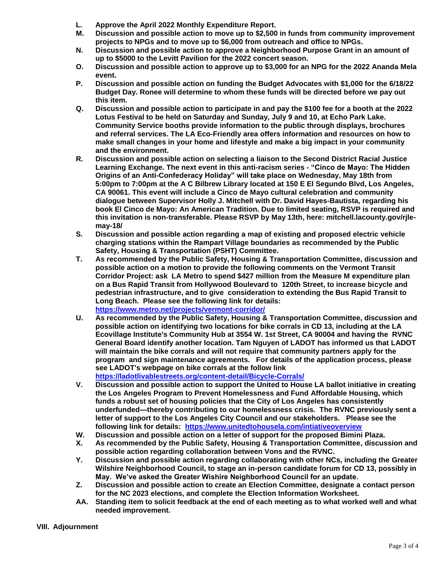- **L. Approve the April 2022 Monthly Expenditure Report.**
- **M. Discussion and possible action to move up to \$2,500 in funds from community improvement projects to NPGs and to move up to \$6,000 from outreach and office to NPGs.**
- **N. Discussion and possible action to approve a Neighborhood Purpose Grant in an amount of up to \$5000 to the Levitt Pavilion for the 2022 concert season.**
- **O. Discussion and possible action to approve up to \$3,000 for an NPG for the 2022 Ananda Mela event.**
- **P. Discussion and possible action on funding the Budget Advocates with \$1,000 for the 6/18/22 Budget Day. Ronee will determine to whom these funds will be directed before we pay out this item.**
- **Q. Discussion and possible action to participate in and pay the \$100 fee for a booth at the 2022 Lotus Festival to be held on Saturday and Sunday, July 9 and 10, at Echo Park Lake. Community Service booths provide information to the public through displays, brochures and referral services. The LA Eco-Friendly area offers information and resources on how to make small changes in your home and lifestyle and make a big impact in your community and the environment.**
- **R. Discussion and possible action on selecting a liaison to the Second District Racial Justice Learning Exchange. The next event in this anti-racism series - "Cinco de Mayo: The Hidden Origins of an Anti-Confederacy Holiday" will take place on Wednesday, May 18th from 5:00pm to 7:00pm at the A C Bilbrew Library located at 150 E El Segundo Blvd, Los Angeles, CA 90061. This event will include a Cinco de Mayo cultural celebration and community dialogue between Supervisor Holly J. Mitchell with Dr. David Hayes-Bautista, regarding his book El Cinco de Mayo: An American Tradition. Due to limited seating, RSVP is required and this invitation is non-transferable. Please RSVP by May 13th, here: mitchell.lacounty.gov/rjlemay-18/**
- **S. Discussion and possible action regarding a map of existing and proposed electric vehicle charging stations within the Rampart Village boundaries as recommended by the Public Safety, Housing & Transportation (PSHT) Committee.**
- **T. As recommended by the Public Safety, Housing & Transportation Committee, discussion and possible action on a motion to provide the following comments on the Vermont Transit Corridor Project: ask LA Metro to spend \$427 million from the Measure M expenditure plan on a Bus Rapid Transit from Hollywood Boulevard to 120th Street, to increase bicycle and pedestrian infrastructure, and to give consideration to extending the Bus Rapid Transit to Long Beach. Please see the following link for details: <https://www.metro.net/projects/vermont-corridor/>**
- **U. As recommended by the Public Safety, Housing & Transportation Committee, discussion and possible action on identifying two locations for bike corrals in CD 13, including at the LA Ecovillage Institute's Community Hub at 3554 W. 1st Street, CA 90004 and having the RVNC General Board identify another location. Tam Nguyen of LADOT has informed us that LADOT will maintain the bike corrals and will not require that community partners apply for the program and sign maintenance agreements. For details of the application process, please see LADOT's webpage on bike corrals at the follow link <https://ladotlivablestreets.org/content-detail/Bicycle-Corrals/>**
- **V. Discussion and possible action to support the United to House LA ballot initiative in creating the Los Angeles Program to Prevent Homelessness and Fund Affordable Housing, which**
- **funds a robust set of housing policies that the City of Los Angeles has consistently underfunded—thereby contributing to our homelessness crisis. The RVNC previously sent a letter of support to the Los Angeles City Council and our stakeholders. Please see the following link for details: <https://www.unitedtohousela.com/intiativeoverview>**
- **W. Discussion and possible action on a letter of support for the proposed Bimini Plaza.**
- **X. As recommended by the Public Safety, Housing & Transportation Committee, discussion and possible action regarding collaboration between Vons and the RVNC.**
- **Y. Discussion and possible action regarding collaborating with other NCs, including the Greater Wilshire Neighborhood Council, to stage an in-person candidate forum for CD 13, possibly in May. We've asked the Greater Wishire Neighborhood Council for an update.**
- **Z. Discussion and possible action to create an Election Committee, designate a contact person for the NC 2023 elections, and complete the Election Information Worksheet.**
- **AA. Standing item to solicit feedback at the end of each meeting as to what worked well and what needed improvement.**

### **VIII. Adjournment**